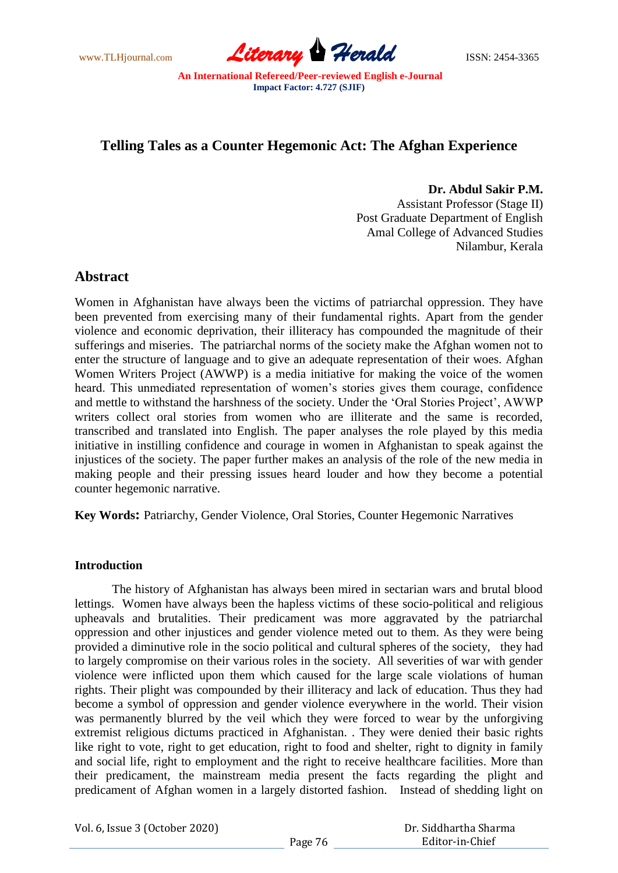www.TLHjournal.com **Literary Herald ISSN: 2454-3365** 

# **Telling Tales as a Counter Hegemonic Act: The Afghan Experience**

**Dr. Abdul Sakir P.M.** 

Assistant Professor (Stage II) Post Graduate Department of English Amal College of Advanced Studies Nilambur, Kerala

# **Abstract**

Women in Afghanistan have always been the victims of patriarchal oppression. They have been prevented from exercising many of their fundamental rights. Apart from the gender violence and economic deprivation, their illiteracy has compounded the magnitude of their sufferings and miseries. The patriarchal norms of the society make the Afghan women not to enter the structure of language and to give an adequate representation of their woes. Afghan Women Writers Project (AWWP) is a media initiative for making the voice of the women heard. This unmediated representation of women's stories gives them courage, confidence and mettle to withstand the harshness of the society. Under the "Oral Stories Project", AWWP writers collect oral stories from women who are illiterate and the same is recorded, transcribed and translated into English. The paper analyses the role played by this media initiative in instilling confidence and courage in women in Afghanistan to speak against the injustices of the society. The paper further makes an analysis of the role of the new media in making people and their pressing issues heard louder and how they become a potential counter hegemonic narrative.

**Key Words:** Patriarchy, Gender Violence, Oral Stories, Counter Hegemonic Narratives

## **Introduction**

The history of Afghanistan has always been mired in sectarian wars and brutal blood lettings. Women have always been the hapless victims of these socio-political and religious upheavals and brutalities. Their predicament was more aggravated by the patriarchal oppression and other injustices and gender violence meted out to them. As they were being provided a diminutive role in the socio political and cultural spheres of the society, they had to largely compromise on their various roles in the society. All severities of war with gender violence were inflicted upon them which caused for the large scale violations of human rights. Their plight was compounded by their illiteracy and lack of education. Thus they had become a symbol of oppression and gender violence everywhere in the world. Their vision was permanently blurred by the veil which they were forced to wear by the unforgiving extremist religious dictums practiced in Afghanistan. . They were denied their basic rights like right to vote, right to get education, right to food and shelter, right to dignity in family and social life, right to employment and the right to receive healthcare facilities. More than their predicament, the mainstream media present the facts regarding the plight and predicament of Afghan women in a largely distorted fashion. Instead of shedding light on

Vol. 6, Issue 3 (October 2020)

 Dr. Siddhartha Sharma Editor-in-Chief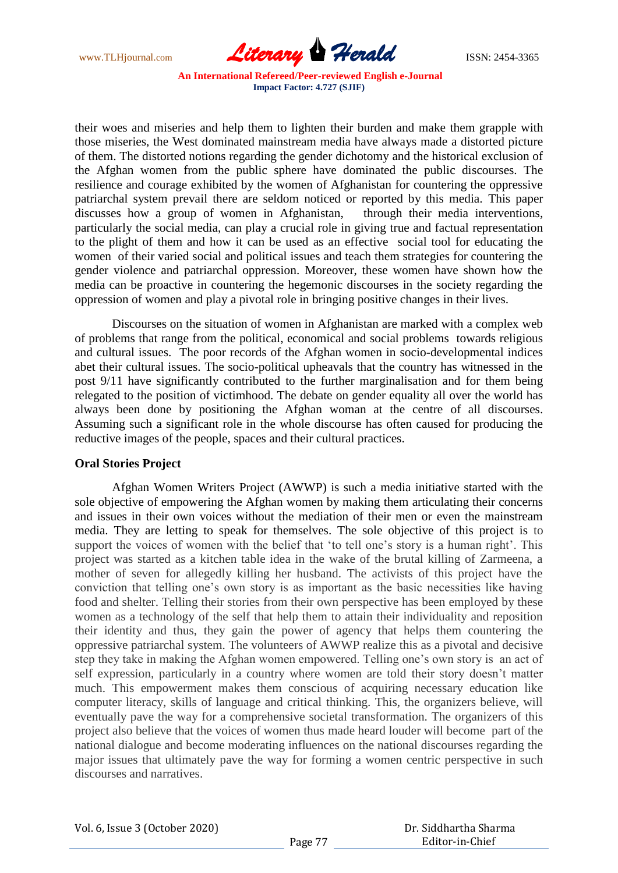

their woes and miseries and help them to lighten their burden and make them grapple with those miseries, the West dominated mainstream media have always made a distorted picture of them. The distorted notions regarding the gender dichotomy and the historical exclusion of the Afghan women from the public sphere have dominated the public discourses. The resilience and courage exhibited by the women of Afghanistan for countering the oppressive patriarchal system prevail there are seldom noticed or reported by this media. This paper discusses how a group of women in Afghanistan, through their media interventions, particularly the social media, can play a crucial role in giving true and factual representation to the plight of them and how it can be used as an effective social tool for educating the women of their varied social and political issues and teach them strategies for countering the gender violence and patriarchal oppression. Moreover, these women have shown how the media can be proactive in countering the hegemonic discourses in the society regarding the oppression of women and play a pivotal role in bringing positive changes in their lives.

Discourses on the situation of women in Afghanistan are marked with a complex web of problems that range from the political, economical and social problems towards religious and cultural issues. The poor records of the Afghan women in socio-developmental indices abet their cultural issues. The socio-political upheavals that the country has witnessed in the post 9/11 have significantly contributed to the further marginalisation and for them being relegated to the position of victimhood. The debate on gender equality all over the world has always been done by positioning the Afghan woman at the centre of all discourses. Assuming such a significant role in the whole discourse has often caused for producing the reductive images of the people, spaces and their cultural practices.

## **Oral Stories Project**

Afghan Women Writers Project (AWWP) is such a media initiative started with the sole objective of empowering the Afghan women by making them articulating their concerns and issues in their own voices without the mediation of their men or even the mainstream media. They are letting to speak for themselves. The sole objective of this project is to support the voices of women with the belief that 'to tell one's story is a human right'. This project was started as a kitchen table idea in the wake of the brutal killing of Zarmeena, a mother of seven for allegedly killing her husband. The activists of this project have the conviction that telling one"s own story is as important as the basic necessities like having food and shelter. Telling their stories from their own perspective has been employed by these women as a technology of the self that help them to attain their individuality and reposition their identity and thus, they gain the power of agency that helps them countering the oppressive patriarchal system. The volunteers of AWWP realize this as a pivotal and decisive step they take in making the Afghan women empowered. Telling one's own story is an act of self expression, particularly in a country where women are told their story doesn"t matter much. This empowerment makes them conscious of acquiring necessary education like computer literacy, skills of language and critical thinking. This, the organizers believe, will eventually pave the way for a comprehensive societal transformation. The organizers of this project also believe that the voices of women thus made heard louder will become part of the national dialogue and become moderating influences on the national discourses regarding the major issues that ultimately pave the way for forming a women centric perspective in such discourses and narratives.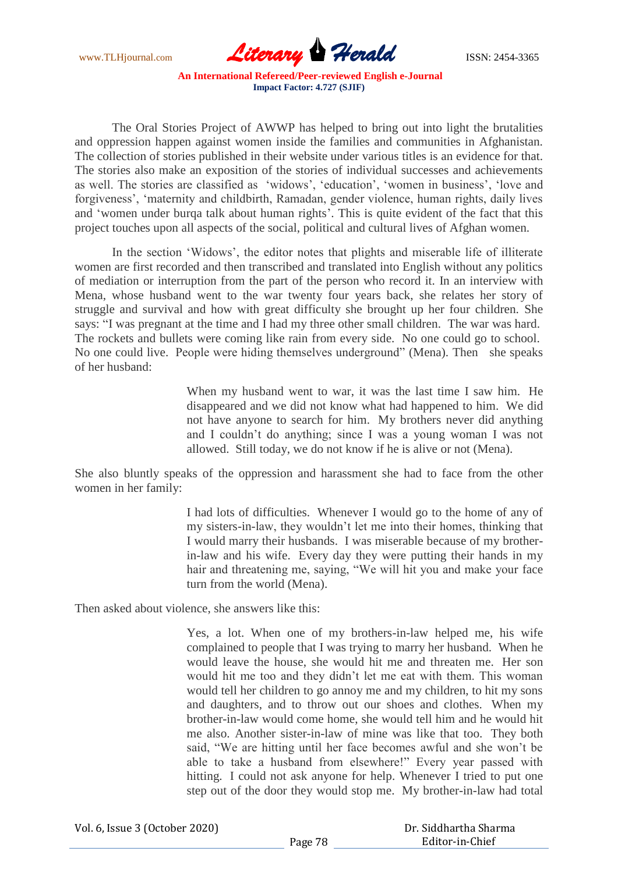www.TLHjournal.com **Literary Herald Herald** ISSN: 2454-3365

The Oral Stories Project of AWWP has helped to bring out into light the brutalities and oppression happen against women inside the families and communities in Afghanistan. The collection of stories published in their website under various titles is an evidence for that. The stories also make an exposition of the stories of individual successes and achievements as well. The stories are classified as 'widows', 'education', 'women in business', 'love and forgiveness', 'maternity and childbirth, Ramadan, gender violence, human rights, daily lives and 'women under burqa talk about human rights'. This is quite evident of the fact that this project touches upon all aspects of the social, political and cultural lives of Afghan women.

In the section "Widows", the editor notes that plights and miserable life of illiterate women are first recorded and then transcribed and translated into English without any politics of mediation or interruption from the part of the person who record it. In an interview with Mena, whose husband went to the war twenty four years back, she relates her story of struggle and survival and how with great difficulty she brought up her four children. She says: "I was pregnant at the time and I had my three other small children. The war was hard. The rockets and bullets were coming like rain from every side. No one could go to school. No one could live. People were hiding themselves underground" (Mena). Then she speaks of her husband:

> When my husband went to war, it was the last time I saw him. He disappeared and we did not know what had happened to him. We did not have anyone to search for him. My brothers never did anything and I couldn"t do anything; since I was a young woman I was not allowed. Still today, we do not know if he is alive or not (Mena).

She also bluntly speaks of the oppression and harassment she had to face from the other women in her family:

> I had lots of difficulties. Whenever I would go to the home of any of my sisters-in-law, they wouldn"t let me into their homes, thinking that I would marry their husbands. I was miserable because of my brotherin-law and his wife. Every day they were putting their hands in my hair and threatening me, saying, "We will hit you and make your face turn from the world (Mena).

Then asked about violence, she answers like this:

Yes, a lot. When one of my brothers-in-law helped me, his wife complained to people that I was trying to marry her husband. When he would leave the house, she would hit me and threaten me. Her son would hit me too and they didn"t let me eat with them. This woman would tell her children to go annoy me and my children, to hit my sons and daughters, and to throw out our shoes and clothes. When my brother-in-law would come home, she would tell him and he would hit me also. Another sister-in-law of mine was like that too. They both said, "We are hitting until her face becomes awful and she won"t be able to take a husband from elsewhere!" Every year passed with hitting. I could not ask anyone for help. Whenever I tried to put one step out of the door they would stop me. My brother-in-law had total

| Vol. 6, Issue 3 (October 2020) |         | Dr. Siddhartha Sharma |
|--------------------------------|---------|-----------------------|
|                                | Page 78 | Editor-in-Chief       |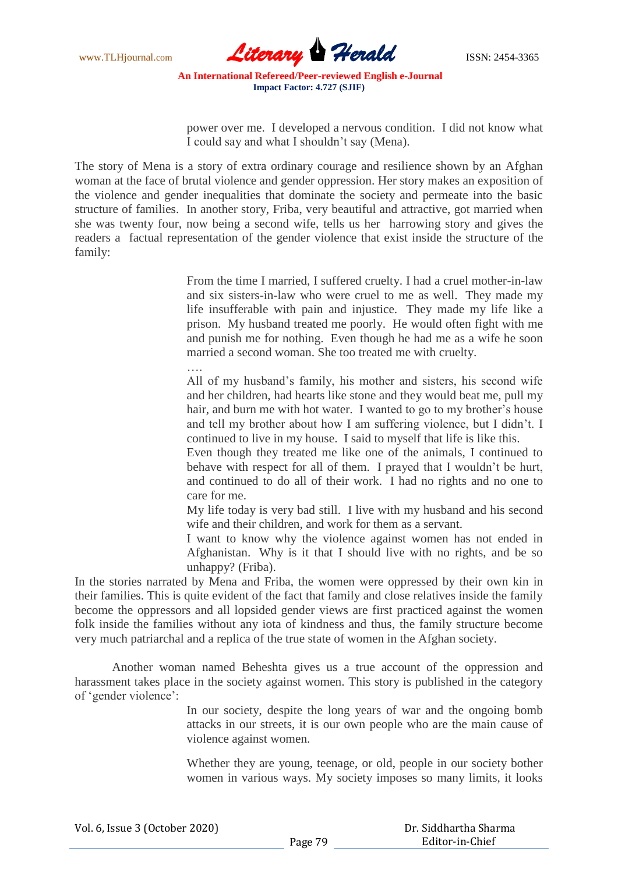

power over me. I developed a nervous condition. I did not know what I could say and what I shouldn"t say (Mena).

The story of Mena is a story of extra ordinary courage and resilience shown by an Afghan woman at the face of brutal violence and gender oppression. Her story makes an exposition of the violence and gender inequalities that dominate the society and permeate into the basic structure of families. In another story, Friba, very beautiful and attractive, got married when she was twenty four, now being a second wife, tells us her harrowing story and gives the readers a factual representation of the gender violence that exist inside the structure of the family:

> From the time I married, I suffered cruelty. I had a cruel mother-in-law and six sisters-in-law who were cruel to me as well. They made my life insufferable with pain and injustice. They made my life like a prison. My husband treated me poorly. He would often fight with me and punish me for nothing. Even though he had me as a wife he soon married a second woman. She too treated me with cruelty.

….

All of my husband"s family, his mother and sisters, his second wife and her children, had hearts like stone and they would beat me, pull my hair, and burn me with hot water. I wanted to go to my brother's house and tell my brother about how I am suffering violence, but I didn"t. I continued to live in my house. I said to myself that life is like this.

Even though they treated me like one of the animals, I continued to behave with respect for all of them. I prayed that I wouldn"t be hurt, and continued to do all of their work. I had no rights and no one to care for me.

My life today is very bad still. I live with my husband and his second wife and their children, and work for them as a servant.

I want to know why the violence against women has not ended in Afghanistan. Why is it that I should live with no rights, and be so unhappy? (Friba).

In the stories narrated by Mena and Friba, the women were oppressed by their own kin in their families. This is quite evident of the fact that family and close relatives inside the family become the oppressors and all lopsided gender views are first practiced against the women folk inside the families without any iota of kindness and thus, the family structure become very much patriarchal and a replica of the true state of women in the Afghan society.

Another woman named Beheshta gives us a true account of the oppression and harassment takes place in the society against women. This story is published in the category of "gender violence":

> In our society, despite the long years of war and the ongoing bomb attacks in our streets, it is our own people who are the main cause of violence against women.

> Whether they are young, teenage, or old, people in our society bother women in various ways. My society imposes so many limits, it looks

 Dr. Siddhartha Sharma Editor-in-Chief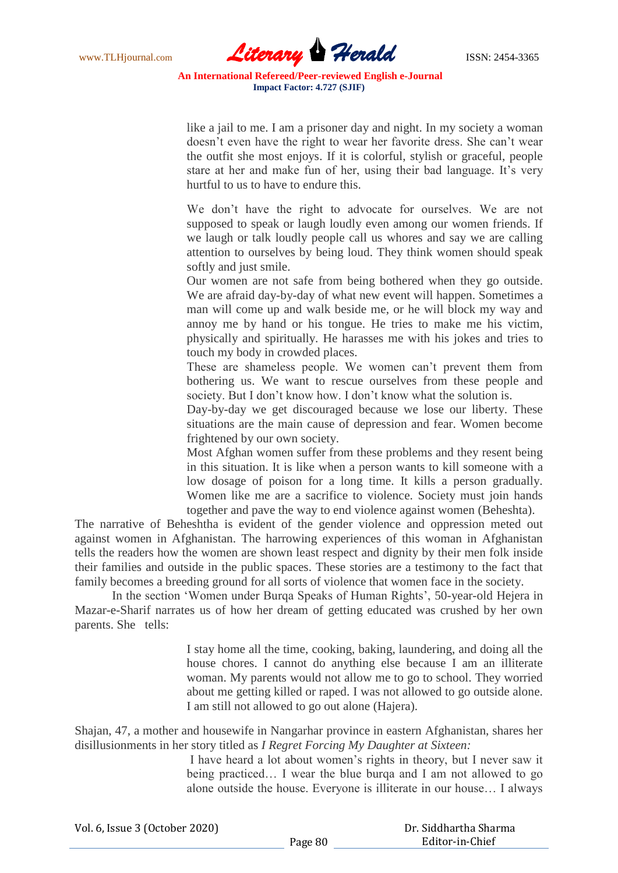

like a jail to me. I am a prisoner day and night. In my society a woman doesn't even have the right to wear her favorite dress. She can't wear the outfit she most enjoys. If it is colorful, stylish or graceful, people stare at her and make fun of her, using their bad language. It's very hurtful to us to have to endure this.

We don"t have the right to advocate for ourselves. We are not supposed to speak or laugh loudly even among our women friends. If we laugh or talk loudly people call us whores and say we are calling attention to ourselves by being loud. They think women should speak softly and just smile.

Our women are not safe from being bothered when they go outside. We are afraid day-by-day of what new event will happen. Sometimes a man will come up and walk beside me, or he will block my way and annoy me by hand or his tongue. He tries to make me his victim, physically and spiritually. He harasses me with his jokes and tries to touch my body in crowded places.

These are shameless people. We women can"t prevent them from bothering us. We want to rescue ourselves from these people and society. But I don't know how. I don't know what the solution is.

Day-by-day we get discouraged because we lose our liberty. These situations are the main cause of depression and fear. Women become frightened by our own society.

Most Afghan women suffer from these problems and they resent being in this situation. It is like when a person wants to kill someone with a low dosage of poison for a long time. It kills a person gradually. Women like me are a sacrifice to violence. Society must join hands together and pave the way to end violence against women (Beheshta).

The narrative of Beheshtha is evident of the gender violence and oppression meted out against women in Afghanistan. The harrowing experiences of this woman in Afghanistan tells the readers how the women are shown least respect and dignity by their men folk inside their families and outside in the public spaces. These stories are a testimony to the fact that family becomes a breeding ground for all sorts of violence that women face in the society.

In the section 'Women under Burqa Speaks of Human Rights', 50-year-old Hejera in Mazar-e-Sharif narrates us of how her dream of getting educated was crushed by her own parents. She tells:

> I stay home all the time, cooking, baking, laundering, and doing all the house chores. I cannot do anything else because I am an illiterate woman. My parents would not allow me to go to school. They worried about me getting killed or raped. I was not allowed to go outside alone. I am still not allowed to go out alone (Hajera).

Shajan, 47, a mother and housewife in Nangarhar province in eastern Afghanistan, shares her disillusionments in her story titled as *I Regret Forcing My Daughter at Sixteen:*

> I have heard a lot about women"s rights in theory, but I never saw it being practiced… I wear the blue burqa and I am not allowed to go alone outside the house. Everyone is illiterate in our house… I always

Vol. 6, Issue 3 (October 2020)

 Dr. Siddhartha Sharma Editor-in-Chief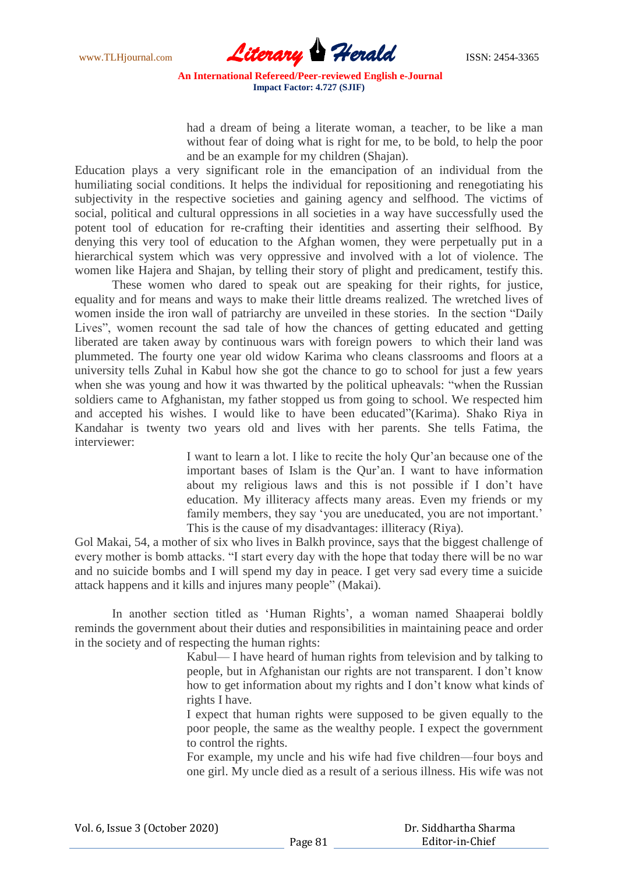

had a dream of being a literate woman, a teacher, to be like a man without fear of doing what is right for me, to be bold, to help the poor and be an example for my children (Shajan).

Education plays a very significant role in the emancipation of an individual from the humiliating social conditions. It helps the individual for repositioning and renegotiating his subjectivity in the respective societies and gaining agency and selfhood. The victims of social, political and cultural oppressions in all societies in a way have successfully used the potent tool of education for re-crafting their identities and asserting their selfhood. By denying this very tool of education to the Afghan women, they were perpetually put in a hierarchical system which was very oppressive and involved with a lot of violence. The women like Hajera and Shajan, by telling their story of plight and predicament, testify this.

These women who dared to speak out are speaking for their rights, for justice, equality and for means and ways to make their little dreams realized. The wretched lives of women inside the iron wall of patriarchy are unveiled in these stories. In the section "Daily Lives", women recount the sad tale of how the chances of getting educated and getting liberated are taken away by continuous wars with foreign powers to which their land was plummeted. The fourty one year old widow Karima who cleans classrooms and floors at a university tells Zuhal in Kabul how she got the chance to go to school for just a few years when she was young and how it was thwarted by the political upheavals: "when the Russian soldiers came to Afghanistan, my father stopped us from going to school. We respected him and accepted his wishes. I would like to have been educated"(Karima). Shako Riya in Kandahar is twenty two years old and lives with her parents. She tells Fatima, the interviewer:

> I want to learn a lot. I like to recite the holy Qur"an because one of the important bases of Islam is the Our'an. I want to have information about my religious laws and this is not possible if I don"t have education. My illiteracy affects many areas. Even my friends or my family members, they say 'you are uneducated, you are not important.' This is the cause of my disadvantages: illiteracy (Riya).

Gol Makai, 54, a mother of six who lives in Balkh province, says that the biggest challenge of every mother is bomb attacks. "I start every day with the hope that today there will be no war and no suicide bombs and I will spend my day in peace. I get very sad every time a suicide attack happens and it kills and injures many people" (Makai).

In another section titled as 'Human Rights', a woman named Shaaperai boldly reminds the government about their duties and responsibilities in maintaining peace and order in the society and of respecting the human rights:

> Kabul— I have heard of human rights from television and by talking to people, but in Afghanistan our rights are not transparent. I don"t know how to get information about my rights and I don"t know what kinds of rights I have.

> I expect that human rights were supposed to be given equally to the poor people, the same as the wealthy people. I expect the government to control the rights.

> For example, my uncle and his wife had five children—four boys and one girl. My uncle died as a result of a serious illness. His wife was not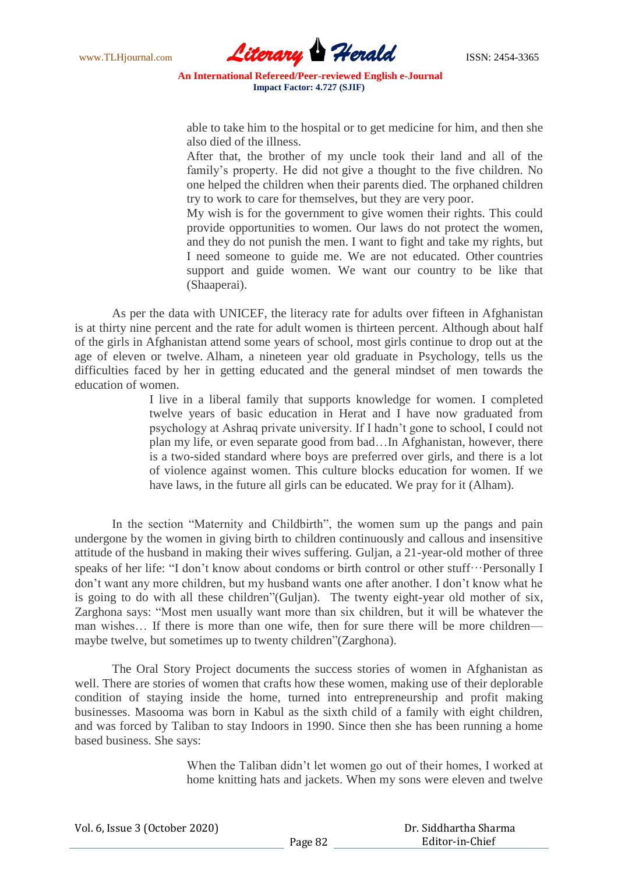

able to take him to the hospital or to get medicine for him, and then she also died of the illness.

After that, the brother of my uncle took their land and all of the family's property. He did not give a thought to the five children. No one helped the children when their parents died. The orphaned children try to work to care for themselves, but they are very poor.

My wish is for the government to give women their rights. This could provide opportunities to women. Our laws do not protect the women, and they do not punish the men. I want to fight and take my rights, but I need someone to guide me. We are not educated. Other countries support and guide women. We want our country to be like that (Shaaperai).

As per the data with UNICEF, the literacy rate for adults over fifteen in Afghanistan is at thirty nine percent and the rate for adult women is thirteen percent. Although about half of the girls in Afghanistan attend some years of school, most girls continue to drop out at the age of eleven or twelve. Alham, a nineteen year old graduate in Psychology, tells us the difficulties faced by her in getting educated and the general mindset of men towards the education of women.

> I live in a liberal family that supports knowledge for women. I completed twelve years of basic education in Herat and I have now graduated from psychology at Ashraq private university. If I hadn"t gone to school, I could not plan my life, or even separate good from bad…In Afghanistan, however, there is a two-sided standard where boys are preferred over girls, and there is a lot of violence against women. This culture blocks education for women. If we have laws, in the future all girls can be educated. We pray for it (Alham).

In the section "Maternity and Childbirth", the women sum up the pangs and pain undergone by the women in giving birth to children continuously and callous and insensitive attitude of the husband in making their wives suffering. Guljan, a 21-year-old mother of three speaks of her life: "I don't know about condoms or birth control or other stuff…Personally I don"t want any more children, but my husband wants one after another. I don"t know what he is going to do with all these children"(Guljan). The twenty eight-year old mother of six, Zarghona says: "Most men usually want more than six children, but it will be whatever the man wishes… If there is more than one wife, then for sure there will be more children maybe twelve, but sometimes up to twenty children"(Zarghona).

The Oral Story Project documents the success stories of women in Afghanistan as well. There are stories of women that crafts how these women, making use of their deplorable condition of staying inside the home, turned into entrepreneurship and profit making businesses. Masooma was born in Kabul as the sixth child of a family with eight children, and was forced by Taliban to stay Indoors in 1990. Since then she has been running a home based business. She says:

> When the Taliban didn"t let women go out of their homes, I worked at home knitting hats and jackets. When my sons were eleven and twelve

| Vol. 6, Issue 3 (October 2020) |         | Dr. Siddhartha Sharma |
|--------------------------------|---------|-----------------------|
|                                | Page 82 | Editor-in-Chief       |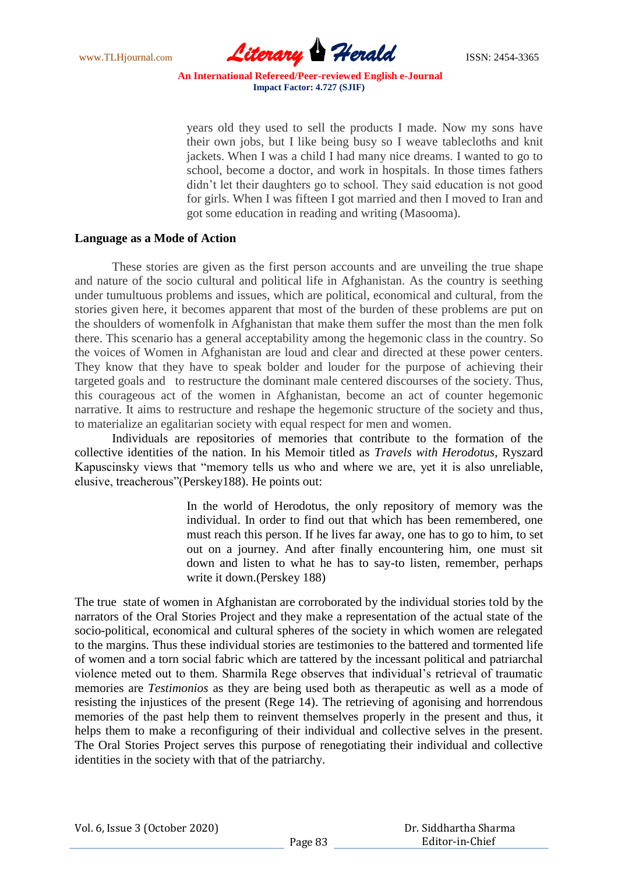

years old they used to sell the products I made. Now my sons have their own jobs, but I like being busy so I weave tablecloths and knit jackets. When I was a child I had many nice dreams. I wanted to go to school, become a doctor, and work in hospitals. In those times fathers didn"t let their daughters go to school. They said education is not good for girls. When I was fifteen I got married and then I moved to Iran and got some education in reading and writing (Masooma).

#### **Language as a Mode of Action**

These stories are given as the first person accounts and are unveiling the true shape and nature of the socio cultural and political life in Afghanistan. As the country is seething under tumultuous problems and issues, which are political, economical and cultural, from the stories given here, it becomes apparent that most of the burden of these problems are put on the shoulders of womenfolk in Afghanistan that make them suffer the most than the men folk there. This scenario has a general acceptability among the hegemonic class in the country. So the voices of Women in Afghanistan are loud and clear and directed at these power centers. They know that they have to speak bolder and louder for the purpose of achieving their targeted goals and to restructure the dominant male centered discourses of the society. Thus, this courageous act of the women in Afghanistan, become an act of counter hegemonic narrative. It aims to restructure and reshape the hegemonic structure of the society and thus, to materialize an egalitarian society with equal respect for men and women.

Individuals are repositories of memories that contribute to the formation of the collective identities of the nation. In his Memoir titled as *Travels with Herodotus*, Ryszard Kapuscinsky views that "memory tells us who and where we are, yet it is also unreliable, elusive, treacherous"(Perskey188). He points out:

> In the world of Herodotus, the only repository of memory was the individual. In order to find out that which has been remembered, one must reach this person. If he lives far away, one has to go to him, to set out on a journey. And after finally encountering him, one must sit down and listen to what he has to say-to listen, remember, perhaps write it down.(Perskey 188)

The true state of women in Afghanistan are corroborated by the individual stories told by the narrators of the Oral Stories Project and they make a representation of the actual state of the socio-political, economical and cultural spheres of the society in which women are relegated to the margins. Thus these individual stories are testimonies to the battered and tormented life of women and a torn social fabric which are tattered by the incessant political and patriarchal violence meted out to them. Sharmila Rege observes that individual"s retrieval of traumatic memories are *Testimonios* as they are being used both as therapeutic as well as a mode of resisting the injustices of the present (Rege 14). The retrieving of agonising and horrendous memories of the past help them to reinvent themselves properly in the present and thus, it helps them to make a reconfiguring of their individual and collective selves in the present. The Oral Stories Project serves this purpose of renegotiating their individual and collective identities in the society with that of the patriarchy.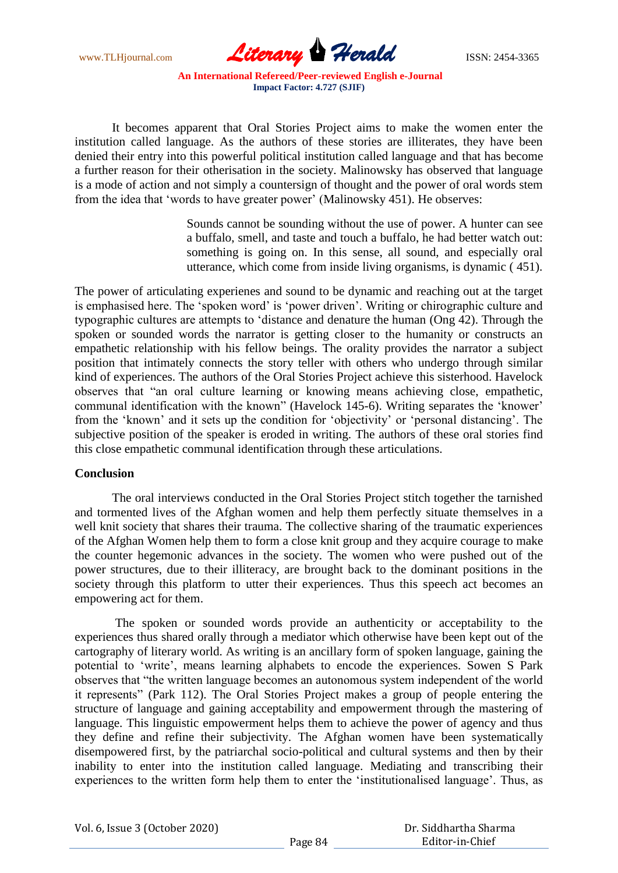www.TLHjournal.com **Literary Herald Herald** ISSN: 2454-3365

It becomes apparent that Oral Stories Project aims to make the women enter the institution called language. As the authors of these stories are illiterates, they have been denied their entry into this powerful political institution called language and that has become a further reason for their otherisation in the society. Malinowsky has observed that language is a mode of action and not simply a countersign of thought and the power of oral words stem from the idea that 'words to have greater power' (Malinowsky 451). He observes:

> Sounds cannot be sounding without the use of power. A hunter can see a buffalo, smell, and taste and touch a buffalo, he had better watch out: something is going on. In this sense, all sound, and especially oral utterance, which come from inside living organisms, is dynamic ( 451).

The power of articulating experienes and sound to be dynamic and reaching out at the target is emphasised here. The "spoken word" is "power driven". Writing or chirographic culture and typographic cultures are attempts to "distance and denature the human (Ong 42). Through the spoken or sounded words the narrator is getting closer to the humanity or constructs an empathetic relationship with his fellow beings. The orality provides the narrator a subject position that intimately connects the story teller with others who undergo through similar kind of experiences. The authors of the Oral Stories Project achieve this sisterhood. Havelock observes that "an oral culture learning or knowing means achieving close, empathetic, communal identification with the known" (Havelock 145-6). Writing separates the "knower" from the "known" and it sets up the condition for "objectivity" or "personal distancing". The subjective position of the speaker is eroded in writing. The authors of these oral stories find this close empathetic communal identification through these articulations.

#### **Conclusion**

The oral interviews conducted in the Oral Stories Project stitch together the tarnished and tormented lives of the Afghan women and help them perfectly situate themselves in a well knit society that shares their trauma. The collective sharing of the traumatic experiences of the Afghan Women help them to form a close knit group and they acquire courage to make the counter hegemonic advances in the society. The women who were pushed out of the power structures, due to their illiteracy, are brought back to the dominant positions in the society through this platform to utter their experiences. Thus this speech act becomes an empowering act for them.

The spoken or sounded words provide an authenticity or acceptability to the experiences thus shared orally through a mediator which otherwise have been kept out of the cartography of literary world. As writing is an ancillary form of spoken language, gaining the potential to "write", means learning alphabets to encode the experiences. Sowen S Park observes that "the written language becomes an autonomous system independent of the world it represents" (Park 112). The Oral Stories Project makes a group of people entering the structure of language and gaining acceptability and empowerment through the mastering of language. This linguistic empowerment helps them to achieve the power of agency and thus they define and refine their subjectivity. The Afghan women have been systematically disempowered first, by the patriarchal socio-political and cultural systems and then by their inability to enter into the institution called language. Mediating and transcribing their experiences to the written form help them to enter the "institutionalised language". Thus, as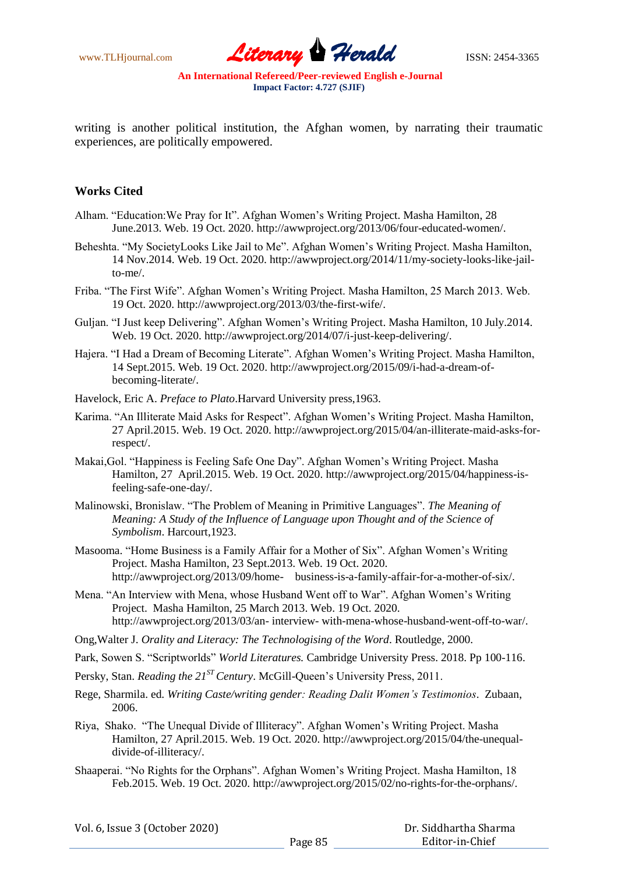www.TLHjournal.com **Literary Herald Herald** ISSN: 2454-3365

writing is another political institution, the Afghan women, by narrating their traumatic experiences, are politically empowered.

## **Works Cited**

- Alham. "Education:We Pray for It". Afghan Women"s Writing Project. Masha Hamilton, 28 June.2013. Web. 19 Oct. 2020. http://awwproject.org/2013/06/four-educated-women/.
- Beheshta. "My SocietyLooks Like Jail to Me". Afghan Women"s Writing Project. Masha Hamilton, 14 Nov.2014. Web. 19 Oct. 2020. http://awwproject.org/2014/11/my-society-looks-like-jailto-me/.
- Friba. "The First Wife". Afghan Women"s Writing Project. Masha Hamilton, 25 March 2013. Web. 19 Oct. 2020. http://awwproject.org/2013/03/the-first-wife/.
- Guljan. "I Just keep Delivering". Afghan Women"s Writing Project. Masha Hamilton, 10 July.2014. Web. 19 Oct. 2020. http://awwproject.org/2014/07/i-just-keep-delivering/.
- Hajera. "I Had a Dream of Becoming Literate". Afghan Women"s Writing Project. Masha Hamilton, 14 Sept.2015. Web. 19 Oct. 2020. http://awwproject.org/2015/09/i-had-a-dream-ofbecoming-literate/.
- Havelock, Eric A. *Preface to Plato*.Harvard University press,1963.
- Karima. "An Illiterate Maid Asks for Respect". Afghan Women"s Writing Project. Masha Hamilton, 27 April.2015. Web. 19 Oct. 2020. http://awwproject.org/2015/04/an-illiterate-maid-asks-forrespect/.
- Makai,Gol. "Happiness is Feeling Safe One Day". Afghan Women"s Writing Project. Masha Hamilton, 27 April.2015. Web. 19 Oct. 2020. http://awwproject.org/2015/04/happiness-isfeeling-safe-one-day/.
- Malinowski, Bronislaw. "The Problem of Meaning in Primitive Languages". *The Meaning of Meaning: A Study of the Influence of Language upon Thought and of the Science of Symbolism*. Harcourt,1923.
- Masooma. "Home Business is a Family Affair for a Mother of Six". Afghan Women"s Writing Project. Masha Hamilton, 23 Sept.2013. Web. 19 Oct. 2020. http://awwproject.org/2013/09/home- business-is-a-family-affair-for-a-mother-of-six/.
- Mena. "An Interview with Mena, whose Husband Went off to War". Afghan Women"s Writing Project. Masha Hamilton, 25 March 2013. Web. 19 Oct. 2020. http://awwproject.org/2013/03/an- interview- with-mena-whose-husband-went-off-to-war/.
- Ong,Walter J. *Orality and Literacy: The Technologising of the Word*. Routledge, 2000.
- Park, Sowen S. "Scriptworlds" *World Literatures.* Cambridge University Press. 2018. Pp 100-116.
- Persky, Stan. *Reading the 21<sup>ST</sup> Century*. McGill-Queen's University Press, 2011.
- Rege, Sharmila. ed. *Writing Caste/writing gender: Reading Dalit Women's Testimonios*. Zubaan, 2006.
- Riya, Shako. "The Unequal Divide of Illiteracy". Afghan Women"s Writing Project. Masha Hamilton, 27 April.2015. Web. 19 Oct. 2020. http://awwproject.org/2015/04/the-unequaldivide-of-illiteracy/.
- Shaaperai. "No Rights for the Orphans". Afghan Women"s Writing Project. Masha Hamilton, 18 Feb.2015. Web. 19 Oct. 2020. http://awwproject.org/2015/02/no-rights-for-the-orphans/.